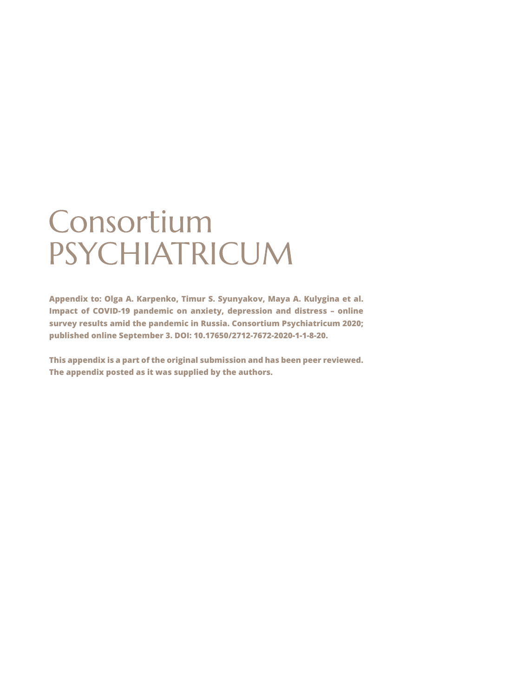# Consortium PSYCHIATRICUM

**Appendix to: Olga A. Karpenko, Timur S. Syunyakov, Maya A. Kulygina et al. Impact of COVID-19 pandemic on anxiety, depression and distress – online survey results amid the pandemic in Russia. Consortium Psychiatricum 2020; published online September 3. DOI: 10.17650/2712-7672-2020-1-1-8-20.** 

**This appendix is a part of the original submission and has been peer reviewed. The appendix posted as it was supplied by the authors.**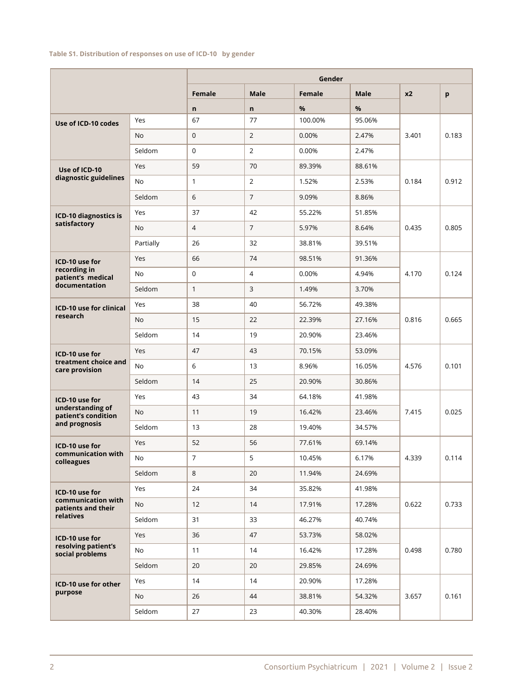#### **Table S1. Distribution of responses on use of ICD-10 by gender**

|                                          |           |                |                | Gender  |             |                |       |
|------------------------------------------|-----------|----------------|----------------|---------|-------------|----------------|-------|
|                                          |           | Female         | <b>Male</b>    | Female  | <b>Male</b> | x <sub>2</sub> | p     |
|                                          |           | $\mathbf n$    | $\mathsf{n}$   | %       | %           |                |       |
| Use of ICD-10 codes                      | Yes       | 67             | 77             | 100.00% | 95.06%      |                |       |
|                                          | No        | $\mathbf{0}$   | $\overline{2}$ | 0.00%   | 2.47%       | 3.401          | 0.183 |
|                                          | Seldom    | $\mathbf 0$    | $\overline{2}$ | 0.00%   | 2.47%       |                |       |
| Use of ICD-10                            | Yes       | 59             | 70             | 89.39%  | 88.61%      |                |       |
| diagnostic guidelines                    | No        | $\mathbf{1}$   | $\overline{2}$ | 1.52%   | 2.53%       | 0.184          | 0.912 |
|                                          | Seldom    | 6              | $\overline{7}$ | 9.09%   | 8.86%       |                |       |
| ICD-10 diagnostics is                    | Yes       | 37             | 42             | 55.22%  | 51.85%      |                |       |
| satisfactory                             | No        | $\overline{4}$ | $\overline{7}$ | 5.97%   | 8.64%       | 0.435          | 0.805 |
|                                          | Partially | 26             | 32             | 38.81%  | 39.51%      |                |       |
| ICD-10 use for                           | Yes       | 66             | 74             | 98.51%  | 91.36%      |                |       |
| recording in<br>patient's medical        | <b>No</b> | $\mathbf 0$    | 4              | 0.00%   | 4.94%       | 4.170          | 0.124 |
| documentation                            | Seldom    | $\mathbf{1}$   | 3              | 1.49%   | 3.70%       |                |       |
| <b>ICD-10 use for clinical</b>           | Yes       | 38             | 40             | 56.72%  | 49.38%      |                |       |
| research                                 | <b>No</b> | 15             | 22             | 22.39%  | 27.16%      | 0.816          | 0.665 |
|                                          | Seldom    | 14             | 19             | 20.90%  | 23.46%      |                |       |
| ICD-10 use for                           | Yes       | 47             | 43             | 70.15%  | 53.09%      |                |       |
| treatment choice and<br>care provision   | <b>No</b> | 6              | 13             | 8.96%   | 16.05%      | 4.576          | 0.101 |
|                                          | Seldom    | 14             | 25             | 20.90%  | 30.86%      |                |       |
| ICD-10 use for                           | Yes       | 43             | 34             | 64.18%  | 41.98%      |                |       |
| understanding of<br>patient's condition  | <b>No</b> | 11             | 19             | 16.42%  | 23.46%      | 7.415          | 0.025 |
| and prognosis                            | Seldom    | 13             | 28             | 19.40%  | 34.57%      |                |       |
| ICD-10 use for                           | Yes       | 52             | 56             | 77.61%  | 69.14%      |                |       |
| communication with<br>colleagues         | <b>No</b> | $\overline{7}$ | 5              | 10.45%  | 6.17%       | 4.339          | 0.114 |
|                                          | Seldom    | 8              | 20             | 11.94%  | 24.69%      |                |       |
| ICD-10 use for                           | Yes       | 24             | 34             | 35.82%  | 41.98%      |                |       |
| communication with<br>patients and their | No        | 12             | 14             | 17.91%  | 17.28%      | 0.622          | 0.733 |
| relatives                                | Seldom    | 31             | 33             | 46.27%  | 40.74%      |                |       |
| ICD-10 use for                           | Yes       | 36             | 47             | 53.73%  | 58.02%      |                |       |
| resolving patient's<br>social problems   | No        | 11             | 14             | 16.42%  | 17.28%      | 0.498          | 0.780 |
|                                          | Seldom    | 20             | 20             | 29.85%  | 24.69%      |                |       |
| ICD-10 use for other                     | Yes       | 14             | 14             | 20.90%  | 17.28%      |                |       |
| purpose                                  | No        | 26             | 44             | 38.81%  | 54.32%      | 3.657          | 0.161 |
|                                          | Seldom    | 27             | 23             | 40.30%  | 28.40%      |                |       |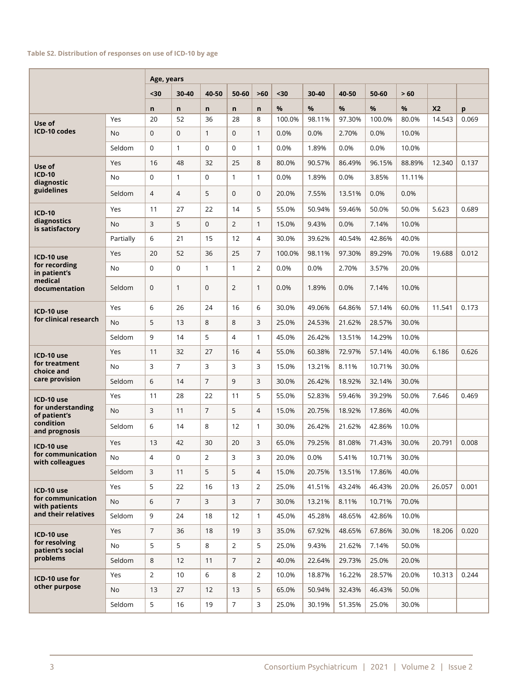#### **Table S2. Distribution of responses on use of ICD-10 by age**

|                                      |           | Age, years     |                |                |                |                |        |        |        |        |        |                |       |
|--------------------------------------|-----------|----------------|----------------|----------------|----------------|----------------|--------|--------|--------|--------|--------|----------------|-------|
|                                      |           | $30$           | 30-40          | 40-50          | 50-60          | $>60$          | $30$   | 30-40  | 40-50  | 50-60  | > 60   |                |       |
|                                      |           | n              | $\mathsf{n}$   | n              | $\mathsf{n}$   | n              | %      | %      | %      | %      | %      | X <sub>2</sub> | p     |
| Use of                               | Yes       | 20             | 52             | 36             | 28             | 8              | 100.0% | 98.11% | 97.30% | 100.0% | 80.0%  | 14.543         | 0.069 |
| ICD-10 codes                         | <b>No</b> | $\mathbf{0}$   | 0              | $\mathbf{1}$   | $\mathbf 0$    | $\mathbf{1}$   | 0.0%   | 0.0%   | 2.70%  | 0.0%   | 10.0%  |                |       |
|                                      | Seldom    | $\Omega$       | $\mathbf{1}$   | $\Omega$       | $\mathbf 0$    | $\mathbf{1}$   | 0.0%   | 1.89%  | 0.0%   | 0.0%   | 10.0%  |                |       |
| Use of                               | Yes       | 16             | 48             | 32             | 25             | 8              | 80.0%  | 90.57% | 86.49% | 96.15% | 88.89% | 12.340         | 0.137 |
| <b>ICD-10</b><br>diagnostic          | No        | $\mathbf 0$    | $\mathbf{1}$   | $\Omega$       | $\mathbf{1}$   | $\mathbf{1}$   | 0.0%   | 1.89%  | 0.0%   | 3.85%  | 11.11% |                |       |
| guidelines                           | Seldom    | $\overline{4}$ | $\overline{4}$ | 5              | $\mathbf{0}$   | $\mathbf 0$    | 20.0%  | 7.55%  | 13.51% | 0.0%   | 0.0%   |                |       |
| <b>ICD-10</b>                        | Yes       | 11             | 27             | 22             | 14             | 5              | 55.0%  | 50.94% | 59.46% | 50.0%  | 50.0%  | 5.623          | 0.689 |
| diagnostics<br>is satisfactory       | <b>No</b> | 3              | 5              | $\Omega$       | $\overline{2}$ | $\mathbf{1}$   | 15.0%  | 9.43%  | 0.0%   | 7.14%  | 10.0%  |                |       |
|                                      | Partially | 6              | 21             | 15             | 12             | $\overline{4}$ | 30.0%  | 39.62% | 40.54% | 42.86% | 40.0%  |                |       |
| ICD-10 use                           | Yes       | 20             | 52             | 36             | 25             | $\overline{7}$ | 100.0% | 98.11% | 97.30% | 89.29% | 70.0%  | 19.688         | 0.012 |
| for recording<br>in patient's        | No        | $\mathbf 0$    | 0              | $\mathbf{1}$   | $\mathbf{1}$   | 2              | 0.0%   | 0.0%   | 2.70%  | 3.57%  | 20.0%  |                |       |
| medical<br>documentation             | Seldom    | $\mathbf{0}$   | $\mathbf{1}$   | $\mathbf{0}$   | 2              | $\mathbf{1}$   | 0.0%   | 1.89%  | 0.0%   | 7.14%  | 10.0%  |                |       |
| ICD-10 use                           | Yes       | 6              | 26             | 24             | 16             | 6              | 30.0%  | 49.06% | 64.86% | 57.14% | 60.0%  | 11.541         | 0.173 |
| for clinical research                | <b>No</b> | 5              | 13             | 8              | 8              | 3              | 25.0%  | 24.53% | 21.62% | 28.57% | 30.0%  |                |       |
|                                      | Seldom    | 9              | 14             | 5              | $\overline{4}$ | $\mathbf{1}$   | 45.0%  | 26.42% | 13.51% | 14.29% | 10.0%  |                |       |
| ICD-10 use                           | Yes       | 11             | 32             | 27             | 16             | $\overline{4}$ | 55.0%  | 60.38% | 72.97% | 57.14% | 40.0%  | 6.186          | 0.626 |
| for treatment<br>choice and          | No        | 3              | 7              | 3              | 3              | 3              | 15.0%  | 13.21% | 8.11%  | 10.71% | 30.0%  |                |       |
| care provision                       | Seldom    | 6              | 14             | $\overline{7}$ | 9              | 3              | 30.0%  | 26.42% | 18.92% | 32.14% | 30.0%  |                |       |
| ICD-10 use                           | Yes       | 11             | 28             | 22             | 11             | 5              | 55.0%  | 52.83% | 59.46% | 39.29% | 50.0%  | 7.646          | 0.469 |
| for understanding<br>of patient's    | <b>No</b> | 3              | 11             | $\overline{7}$ | 5              | $\overline{4}$ | 15.0%  | 20.75% | 18.92% | 17.86% | 40.0%  |                |       |
| condition<br>and prognosis           | Seldom    | 6              | 14             | 8              | 12             | $\mathbf{1}$   | 30.0%  | 26.42% | 21.62% | 42.86% | 10.0%  |                |       |
| ICD-10 use                           | Yes       | 13             | 42             | 30             | 20             | 3              | 65.0%  | 79.25% | 81.08% | 71.43% | 30.0%  | 20.791         | 0.008 |
| for communication<br>with colleagues | No        | $\overline{4}$ | $\Omega$       | $\overline{2}$ | 3              | 3              | 20.0%  | 0.0%   | 5.41%  | 10.71% | 30.0%  |                |       |
|                                      | Seldom    | $\mathsf{3}$   | 11             | 5              | 5              | $\overline{4}$ | 15.0%  | 20.75% | 13.51% | 17.86% | 40.0%  |                |       |
| ICD-10 use                           | Yes       | 5              | 22             | 16             | 13             | $\overline{2}$ | 25.0%  | 41.51% | 43.24% | 46.43% | 20.0%  | 26.057         | 0.001 |
| for communication<br>with patients   | No        | 6              | $\overline{7}$ | $\overline{3}$ | 3              | $\overline{7}$ | 30.0%  | 13.21% | 8.11%  | 10.71% | 70.0%  |                |       |
| and their relatives                  | Seldom    | 9              | 24             | 18             | 12             | $\mathbf{1}$   | 45.0%  | 45.28% | 48.65% | 42.86% | 10.0%  |                |       |
| ICD-10 use                           | Yes       | $\overline{7}$ | 36             | 18             | 19             | 3              | 35.0%  | 67.92% | 48.65% | 67.86% | 30.0%  | 18.206         | 0.020 |
| for resolving<br>patient's social    | No        | 5              | 5              | 8              | $\overline{2}$ | 5              | 25.0%  | 9.43%  | 21.62% | 7.14%  | 50.0%  |                |       |
| problems                             | Seldom    | 8              | 12             | 11             | $\overline{7}$ | $\overline{2}$ | 40.0%  | 22.64% | 29.73% | 25.0%  | 20.0%  |                |       |
| ICD-10 use for                       | Yes       | $\overline{2}$ | 10             | 6              | 8              | $\overline{2}$ | 10.0%  | 18.87% | 16.22% | 28.57% | 20.0%  | 10.313         | 0.244 |
| other purpose                        | No        | 13             | 27             | 12             | 13             | 5              | 65.0%  | 50.94% | 32.43% | 46.43% | 50.0%  |                |       |
|                                      | Seldom    | 5              | 16             | 19             | $\overline{7}$ | 3              | 25.0%  | 30.19% | 51.35% | 25.0%  | 30.0%  |                |       |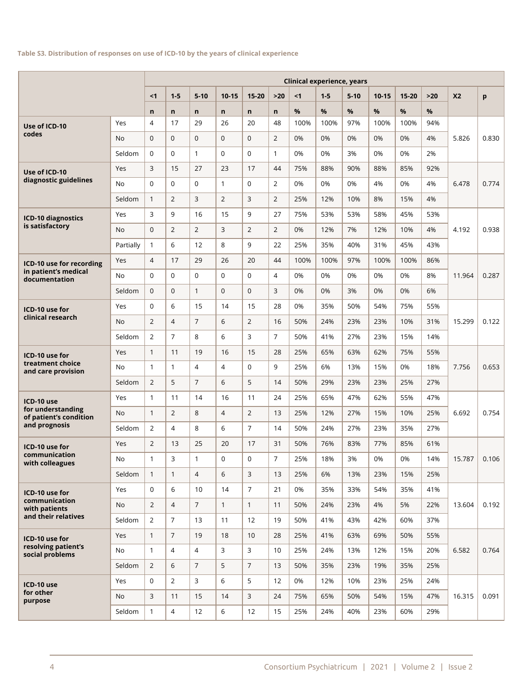#### **Table S3. Distribution of responses on use of ICD-10 by the years of clinical experience**

|                                             | <b>Clinical experience, years</b> |                |                |                |                |                |                |      |       |          |         |           |       |           |       |
|---------------------------------------------|-----------------------------------|----------------|----------------|----------------|----------------|----------------|----------------|------|-------|----------|---------|-----------|-------|-----------|-------|
|                                             |                                   | < 1            | $1 - 5$        | $5-10$         | $10 - 15$      | $15 - 20$      | $>20$          | < 1  | $1-5$ | $5 - 10$ | $10-15$ | $15 - 20$ | $>20$ | <b>X2</b> | p     |
|                                             |                                   | $\mathsf{n}$   | $\mathsf{n}$   | $\mathsf{n}$   | $\mathsf{n}$   | n              | n              | %    | %     | %        | %       | %         | %     |           |       |
| Use of ICD-10                               | Yes                               | $\overline{4}$ | 17             | 29             | 26             | 20             | 48             | 100% | 100%  | 97%      | 100%    | 100%      | 94%   |           |       |
| codes                                       | <b>No</b>                         | $\mathbf 0$    | $\mathbf{0}$   | $\mathbf{0}$   | $\mathbf 0$    | $\Omega$       | $\overline{2}$ | 0%   | 0%    | 0%       | 0%      | 0%        | 4%    | 5.826     | 0.830 |
|                                             | Seldom                            | $\mathbf 0$    | $\mathbf 0$    | $\mathbf{1}$   | $\mathbf 0$    | $\Omega$       | $\mathbf{1}$   | 0%   | 0%    | 3%       | 0%      | 0%        | 2%    |           |       |
| Use of ICD-10                               | Yes                               | 3              | 15             | 27             | 23             | 17             | 44             | 75%  | 88%   | 90%      | 88%     | 85%       | 92%   |           |       |
| diagnostic guidelines                       | <b>No</b>                         | $\Omega$       | $\Omega$       | $\Omega$       | $\mathbf{1}$   | $\Omega$       | $\overline{2}$ | 0%   | 0%    | 0%       | 4%      | 0%        | 4%    | 6.478     | 0.774 |
|                                             | Seldom                            | $\mathbf{1}$   | $\overline{2}$ | 3              | $\overline{2}$ | 3              | $\overline{2}$ | 25%  | 12%   | 10%      | 8%      | 15%       | 4%    |           |       |
| ICD-10 diagnostics                          | Yes                               | 3              | 9              | 16             | 15             | 9              | 27             | 75%  | 53%   | 53%      | 58%     | 45%       | 53%   |           |       |
| is satisfactory                             | <b>No</b>                         | $\mathbf 0$    | $\overline{2}$ | $\overline{2}$ | 3              | $\overline{2}$ | $\overline{2}$ | 0%   | 12%   | 7%       | 12%     | 10%       | 4%    | 4.192     | 0.938 |
|                                             | Partially                         | $\mathbf{1}$   | 6              | 12             | 8              | 9              | 22             | 25%  | 35%   | 40%      | 31%     | 45%       | 43%   |           |       |
| ICD-10 use for recording                    | Yes                               | $\overline{4}$ | 17             | 29             | 26             | 20             | 44             | 100% | 100%  | 97%      | 100%    | 100%      | 86%   |           |       |
| in patient's medical<br>documentation       | No                                | $\mathbf 0$    | $\mathbf 0$    | $\mathbf 0$    | $\mathbf 0$    | $\mathbf 0$    | $\overline{4}$ | 0%   | 0%    | 0%       | 0%      | 0%        | 8%    | 11.964    | 0.287 |
|                                             | Seldom                            | $\mathbf 0$    | $\Omega$       | $\mathbf{1}$   | $\mathbf{0}$   | $\Omega$       | 3              | 0%   | 0%    | 3%       | 0%      | 0%        | 6%    |           |       |
| ICD-10 use for                              | Yes                               | $\mathbf 0$    | 6              | 15             | 14             | 15             | 28             | 0%   | 35%   | 50%      | 54%     | 75%       | 55%   |           |       |
| clinical research                           | No                                | 2              | $\overline{4}$ | $\overline{7}$ | 6              | $\overline{2}$ | 16             | 50%  | 24%   | 23%      | 23%     | 10%       | 31%   | 15.299    | 0.122 |
|                                             | Seldom                            | $\overline{2}$ | $\overline{7}$ | 8              | 6              | 3              | $\overline{7}$ | 50%  | 41%   | 27%      | 23%     | 15%       | 14%   |           |       |
| ICD-10 use for                              | Yes                               | $\mathbf{1}$   | 11             | 19             | 16             | 15             | 28             | 25%  | 65%   | 63%      | 62%     | 75%       | 55%   |           |       |
| treatment choice<br>and care provision      | No                                | $\mathbf{1}$   | $\mathbf{1}$   | $\overline{4}$ | $\overline{4}$ | $\mathbf 0$    | 9              | 25%  | 6%    | 13%      | 15%     | 0%        | 18%   | 7.756     | 0.653 |
|                                             | Seldom                            | $\overline{2}$ | 5              | $\overline{7}$ | 6              | 5              | 14             | 50%  | 29%   | 23%      | 23%     | 25%       | 27%   |           |       |
| ICD-10 use                                  | Yes                               | $\mathbf{1}$   | 11             | 14             | 16             | 11             | 24             | 25%  | 65%   | 47%      | 62%     | 55%       | 47%   |           |       |
| for understanding<br>of patient's condition | <b>No</b>                         | $\mathbf{1}$   | $\overline{2}$ | 8              | $\overline{4}$ | $\overline{2}$ | 13             | 25%  | 12%   | 27%      | 15%     | 10%       | 25%   | 6.692     | 0.754 |
| and prognosis                               | Seldom                            | 2              | $\overline{4}$ | 8              | 6              | $\overline{7}$ | 14             | 50%  | 24%   | 27%      | 23%     | 35%       | 27%   |           |       |
| ICD-10 use for                              | Yes                               | $\overline{2}$ | 13             | 25             | 20             | 17             | 31             | 50%  | 76%   | 83%      | 77%     | 85%       | 61%   |           |       |
| communication<br>with colleagues            | No                                | 1              | 3              | $\mathbf{1}$   | $\mathbf 0$    | $\mathbf 0$    | 7              | 25%  | 18%   | 3%       | 0%      | 0%        | 14%   | 15.787    | 0.106 |
|                                             | Seldom                            | $\mathbf{1}$   | $\mathbf{1}$   | $\overline{4}$ | 6              | 3              | 13             | 25%  | 6%    | 13%      | 23%     | 15%       | 25%   |           |       |
| ICD-10 use for                              | Yes                               | $\mathbf 0$    | 6              | 10             | 14             | $\overline{7}$ | 21             | 0%   | 35%   | 33%      | 54%     | 35%       | 41%   |           |       |
| communication<br>with patients              | No                                | $\overline{2}$ | $\overline{4}$ | $\overline{7}$ | $\mathbf{1}$   | $\mathbf{1}$   | 11             | 50%  | 24%   | 23%      | 4%      | 5%        | 22%   | 13.604    | 0.192 |
| and their relatives                         | Seldom                            | $\overline{2}$ | $\overline{7}$ | 13             | 11             | 12             | 19             | 50%  | 41%   | 43%      | 42%     | 60%       | 37%   |           |       |
| ICD-10 use for                              | Yes                               | $\mathbf{1}$   | $\overline{7}$ | 19             | 18             | 10             | 28             | 25%  | 41%   | 63%      | 69%     | 50%       | 55%   |           |       |
| resolving patient's<br>social problems      | No                                | $\mathbf{1}$   | $\overline{4}$ | $\overline{4}$ | 3              | 3              | 10             | 25%  | 24%   | 13%      | 12%     | 15%       | 20%   | 6.582     | 0.764 |
|                                             | Seldom                            | $\overline{2}$ | 6              | $\overline{7}$ | 5              | $\overline{7}$ | 13             | 50%  | 35%   | 23%      | 19%     | 35%       | 25%   |           |       |
| ICD-10 use                                  | Yes                               | $\mathbf 0$    | $\overline{2}$ | 3              | 6              | 5              | 12             | 0%   | 12%   | 10%      | 23%     | 25%       | 24%   |           |       |
| for other<br>purpose                        | No                                | $\mathbf{3}$   | 11             | 15             | 14             | 3              | 24             | 75%  | 65%   | 50%      | 54%     | 15%       | 47%   | 16.315    | 0.091 |
|                                             | Seldom                            | $\mathbf{1}$   | $\overline{4}$ | 12             | 6              | 12             | 15             | 25%  | 24%   | 40%      | 23%     | 60%       | 29%   |           |       |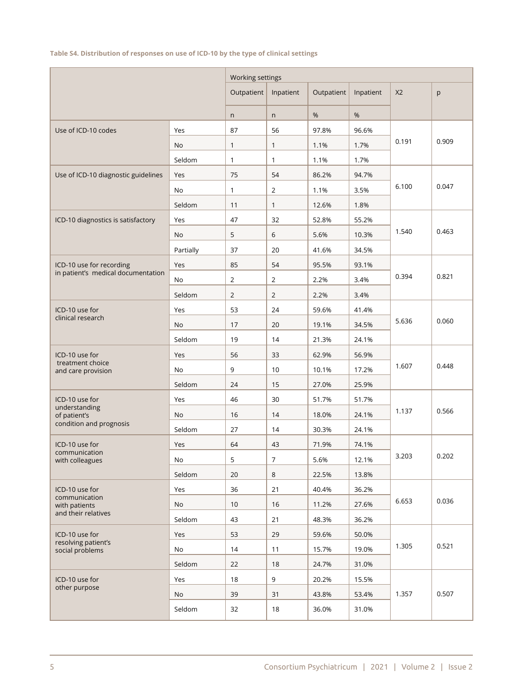## **Table S4. Distribution of responses on use of ICD-10 by the type of clinical settings**

|                                        |               | Working settings |                  |            |           |                |       |
|----------------------------------------|---------------|------------------|------------------|------------|-----------|----------------|-------|
|                                        |               | Outpatient       | Inpatient        | Outpatient | Inpatient | X <sub>2</sub> | p     |
|                                        |               | n                | n                | %          | %         |                |       |
| Use of ICD-10 codes                    | Yes           | 87               | 56               | 97.8%      | 96.6%     |                |       |
|                                        | No            | 1                | $\mathbf{1}$     | 1.1%       | 1.7%      | 0.191          | 0.909 |
|                                        | Seldom        | 1                | $\mathbf{1}$     | 1.1%       | 1.7%      |                |       |
| Use of ICD-10 diagnostic guidelines    | Yes           | 75               | 54               | 86.2%      | 94.7%     |                |       |
|                                        | No            | 1                | 2                | 1.1%       | 3.5%      | 6.100          | 0.047 |
|                                        | Seldom        | 11               | $\mathbf{1}$     | 12.6%      | 1.8%      |                |       |
| ICD-10 diagnostics is satisfactory     | Yes           | 47               | 32               | 52.8%      | 55.2%     |                |       |
|                                        | No            | 5                | 6                | 5.6%       | 10.3%     | 1.540          | 0.463 |
|                                        | Partially     | 37               | 20               | 41.6%      | 34.5%     |                |       |
| ICD-10 use for recording               | Yes           | 85               | 54               | 95.5%      | 93.1%     |                |       |
| in patient's medical documentation     | No            | $\overline{2}$   | 2                | 2.2%       | 3.4%      | 0.394          | 0.821 |
|                                        | Seldom        | $\overline{2}$   | $\overline{2}$   | 2.2%       | 3.4%      |                |       |
| ICD-10 use for                         | Yes           | 53               | 24               | 59.6%      | 41.4%     |                |       |
| clinical research                      | No            | 17               | 20               | 19.1%      | 34.5%     | 5.636          | 0.060 |
|                                        | Seldom        | 19               | 14               | 21.3%      | 24.1%     |                |       |
| ICD-10 use for                         | Yes           | 56               | 33               | 62.9%      | 56.9%     |                |       |
| treatment choice<br>and care provision | No            | 9                | $10$             | 10.1%      | 17.2%     | 1.607          | 0.448 |
|                                        | Seldom        | 24               | 15               | 27.0%      | 25.9%     |                |       |
| ICD-10 use for                         | Yes           | 46               | 30               | 51.7%      | 51.7%     |                |       |
| understanding<br>of patient's          | No            | 16               | 14               | 18.0%      | 24.1%     | 1.137          | 0.566 |
| condition and prognosis                | Seldom        | 27               | 14               | 30.3%      | 24.1%     |                |       |
| ICD-10 use for                         | Yes           | 64               | 43               | 71.9%      | 74.1%     |                |       |
| communication<br>with colleagues       | $\mathsf{No}$ | 5                | $\boldsymbol{7}$ | 5.6%       | 12.1%     | 3.203          | 0.202 |
|                                        | Seldom        | 20               | 8                | 22.5%      | 13.8%     |                |       |
| ICD-10 use for                         | Yes           | 36               | 21               | 40.4%      | 36.2%     |                |       |
| communication<br>with patients         | No            | 10               | 16               | 11.2%      | 27.6%     | 6.653          | 0.036 |
| and their relatives                    | Seldom        | 43               | 21               | 48.3%      | 36.2%     |                |       |
| ICD-10 use for                         | Yes           | 53               | 29               | 59.6%      | 50.0%     |                |       |
| resolving patient's<br>social problems | No            | 14               | 11               | 15.7%      | 19.0%     | 1.305          | 0.521 |
|                                        | Seldom        | 22               | 18               | 24.7%      | 31.0%     |                |       |
| ICD-10 use for                         | Yes           | 18               | 9                | 20.2%      | 15.5%     |                |       |
| other purpose                          | No            | 39               | 31               | 43.8%      | 53.4%     | 1.357          | 0.507 |
|                                        | Seldom        | 32               | 18               | 36.0%      | 31.0%     |                |       |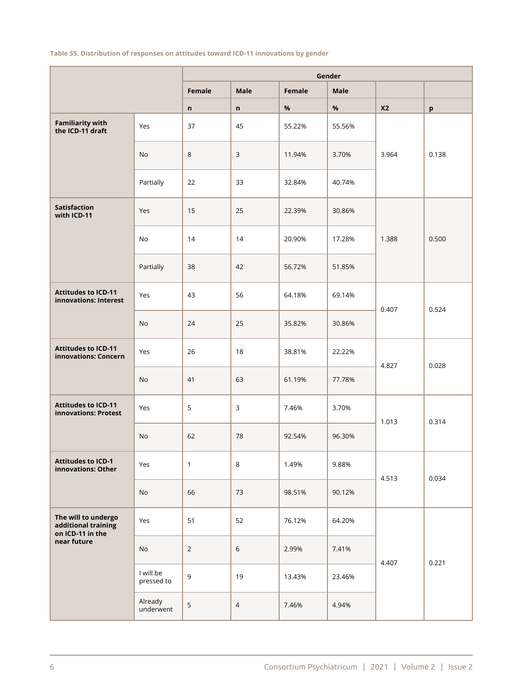# **Table S5. Distribution of responses on attitudes toward ICD-11 innovations by gender**

|                                                                |                         |                |                |        | Gender      |                |       |
|----------------------------------------------------------------|-------------------------|----------------|----------------|--------|-------------|----------------|-------|
|                                                                |                         | Female         | <b>Male</b>    | Female | <b>Male</b> |                |       |
|                                                                |                         | n              | n              | $\%$   | $\%$        | X <sub>2</sub> | p     |
| <b>Familiarity with</b><br>the ICD-11 draft                    | Yes                     | 37             | 45             | 55.22% | 55.56%      |                |       |
|                                                                | <b>No</b>               | $\,8\,$        | $\mathsf{3}$   | 11.94% | 3.70%       | 3.964          | 0.138 |
|                                                                | Partially               | 22             | 33             | 32.84% | 40.74%      |                |       |
| <b>Satisfaction</b><br>with ICD-11                             | Yes                     | 15             | 25             | 22.39% | 30.86%      |                |       |
|                                                                | No                      | 14             | 14             | 20.90% | 17.28%      | 1.388          | 0.500 |
|                                                                | Partially               | 38             | 42             | 56.72% | 51.85%      |                |       |
| <b>Attitudes to ICD-11</b><br>innovations: Interest            | Yes                     | 43             | 56             | 64.18% | 69.14%      | 0.407          | 0.524 |
|                                                                | No                      | 24             | 25             | 35.82% | 30.86%      |                |       |
| <b>Attitudes to ICD-11</b><br>innovations: Concern             | Yes                     | 26             | 18             | 38.81% | 22.22%      | 4.827          | 0.028 |
|                                                                | No                      | 41             | 63             | 61.19% | 77.78%      |                |       |
| <b>Attitudes to ICD-11</b><br>innovations: Protest             | Yes                     | 5              | 3              | 7.46%  | 3.70%       | 1.013          | 0.314 |
|                                                                | No                      | 62             | 78             | 92.54% | 96.30%      |                |       |
| <b>Attitudes to ICD-1</b><br>innovations: Other                | Yes                     | $\mathbf{1}$   | 8              | 1.49%  | 9.88%       | 4.513          | 0.034 |
|                                                                | No                      | 66             | 73             | 98.51% | 90.12%      |                |       |
| The will to undergo<br>additional training<br>on ICD-11 in the | Yes                     | 51             | 52             | 76.12% | 64.20%      |                |       |
| near future                                                    | No                      | $\overline{2}$ | $\,$ 6 $\,$    | 2.99%  | 7.41%       |                |       |
|                                                                | I will be<br>pressed to | 9              | 19             | 13.43% | 23.46%      | 4.407          | 0.221 |
|                                                                | Already<br>underwent    | 5              | $\overline{4}$ | 7.46%  | 4.94%       |                |       |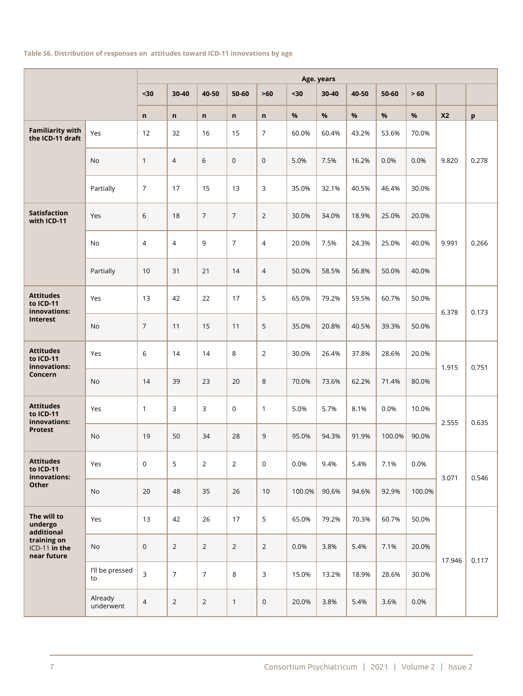#### **Table S6. Distribution of responses on attitudes toward ICD-11 innovations by age**

|                                               |                       | Age. years     |                |                |                |                |        |       |       |        |        |                |       |
|-----------------------------------------------|-----------------------|----------------|----------------|----------------|----------------|----------------|--------|-------|-------|--------|--------|----------------|-------|
|                                               |                       | $30$           | 30-40          | 40-50          | 50-60          | $>60$          | $30$   | 30-40 | 40-50 | 50-60  | > 60   |                |       |
|                                               |                       | $\mathsf{n}$   | n              | $\mathsf{n}$   | n              | $\mathsf n$    | $\%$   | %     | $\%$  | %      | %      | X <sub>2</sub> | p     |
| <b>Familiarity with</b><br>the ICD-11 draft   | Yes                   | 12             | 32             | 16             | 15             | 7              | 60.0%  | 60.4% | 43.2% | 53.6%  | 70.0%  |                |       |
|                                               | No                    | 1              | 4              | 6              | $\mathbf 0$    | $\mathbf 0$    | 5.0%   | 7.5%  | 16.2% | 0.0%   | 0.0%   | 9.820          | 0.278 |
|                                               | Partially             | $\overline{7}$ | 17             | 15             | 13             | 3              | 35.0%  | 32.1% | 40.5% | 46.4%  | 30.0%  |                |       |
| <b>Satisfaction</b><br>with ICD-11            | Yes                   | 6              | 18             | $\overline{7}$ | $\overline{7}$ | $\overline{2}$ | 30.0%  | 34.0% | 18.9% | 25.0%  | 20.0%  |                |       |
|                                               | No                    | $\overline{4}$ | $\overline{4}$ | 9              | $\overline{7}$ | $\overline{4}$ | 20.0%  | 7.5%  | 24.3% | 25.0%  | 40.0%  | 9.991          | 0.266 |
|                                               | Partially             | 10             | 31             | 21             | 14             | $\overline{4}$ | 50.0%  | 58.5% | 56.8% | 50.0%  | 40.0%  |                |       |
| <b>Attitudes</b><br>to ICD-11<br>innovations: | Yes                   | 13             | 42             | 22             | 17             | 5              | 65.0%  | 79.2% | 59.5% | 60.7%  | 50.0%  | 6.378          | 0.173 |
| Interest                                      | No                    | $\overline{7}$ | 11             | 15             | 11             | 5              | 35.0%  | 20.8% | 40.5% | 39.3%  | 50.0%  |                |       |
| <b>Attitudes</b><br>to ICD-11<br>innovations: | Yes                   | 6              | 14             | 14             | 8              | $\overline{2}$ | 30.0%  | 26.4% | 37.8% | 28.6%  | 20.0%  | 1.915          | 0.751 |
| Concern                                       | No                    | 14             | 39             | 23             | 20             | 8              | 70.0%  | 73.6% | 62.2% | 71.4%  | 80.0%  |                |       |
| <b>Attitudes</b><br>to ICD-11<br>innovations: | Yes                   | 1              | 3              | 3              | $\mathbf 0$    | $\mathbf{1}$   | 5.0%   | 5.7%  | 8.1%  | 0.0%   | 10.0%  | 2.555          | 0.635 |
| <b>Protest</b>                                | No                    | 19             | 50             | 34             | 28             | 9              | 95.0%  | 94.3% | 91.9% | 100.0% | 90.0%  |                |       |
| <b>Attitudes</b><br>to ICD-11<br>innovations: | Yes                   | 0              | 5              | $\overline{2}$ | $\overline{2}$ | $\mathbf 0$    | 0.0%   | 9.4%  | 5.4%  | 7.1%   | 0.0%   | 3.071          | 0.546 |
| Other                                         | No                    | 20             | 48             | 35             | 26             | $10$           | 100.0% | 90.6% | 94.6% | 92.9%  | 100.0% |                |       |
| The will to<br>undergo<br>additional          | Yes                   | 13             | 42             | 26             | 17             | 5              | 65.0%  | 79.2% | 70.3% | 60.7%  | 50.0%  |                |       |
| training on<br>ICD-11 in the<br>near future   | No                    | 0              | $\overline{2}$ | $\overline{2}$ | $\overline{2}$ | $\overline{2}$ | 0.0%   | 3.8%  | 5.4%  | 7.1%   | 20.0%  | 17.946         | 0.117 |
|                                               | I'll be pressed<br>to | 3              | $\overline{7}$ | $\overline{7}$ | $\,8\,$        | 3              | 15.0%  | 13.2% | 18.9% | 28.6%  | 30.0%  |                |       |
|                                               | Already<br>underwent  | $\overline{4}$ | $\overline{2}$ | $\overline{2}$ | $\mathbf{1}$   | $\pmb{0}$      | 20.0%  | 3.8%  | 5.4%  | 3.6%   | 0.0%   |                |       |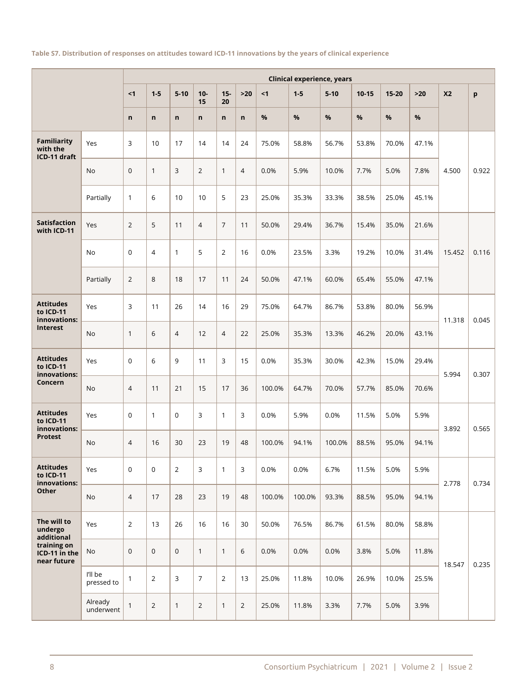#### **Table S7. Distribution of responses on attitudes toward ICD-11 innovations by the years of clinical experience**

|                                                |                       | <b>Clinical experience, years</b> |                |                |                |                |                |        |         |          |           |           |       |                |       |
|------------------------------------------------|-----------------------|-----------------------------------|----------------|----------------|----------------|----------------|----------------|--------|---------|----------|-----------|-----------|-------|----------------|-------|
|                                                |                       | < 1                               | $1 - 5$        | $5 - 10$       | $10-$<br>15    | $15-$<br>20    | $>20$          | $1$    | $1 - 5$ | $5 - 10$ | $10 - 15$ | $15 - 20$ | $>20$ | X <sub>2</sub> | p     |
|                                                |                       | $\mathsf{n}$                      | $\mathsf{n}$   | $\mathsf{n}$   | $\mathsf{n}$   | n              | $\mathsf{n}$   | %      | %       | $\%$     | %         | %         | %     |                |       |
| <b>Familiarity</b><br>with the<br>ICD-11 draft | Yes                   | 3                                 | 10             | 17             | 14             | 14             | 24             | 75.0%  | 58.8%   | 56.7%    | 53.8%     | 70.0%     | 47.1% |                |       |
|                                                | <b>No</b>             | $\mathbf 0$                       | $\mathbf{1}$   | 3              | $\overline{2}$ | $\mathbf{1}$   | $\overline{4}$ | 0.0%   | 5.9%    | 10.0%    | 7.7%      | 5.0%      | 7.8%  | 4.500          | 0.922 |
|                                                | Partially             | $\mathbf{1}$                      | 6              | 10             | 10             | 5              | 23             | 25.0%  | 35.3%   | 33.3%    | 38.5%     | 25.0%     | 45.1% |                |       |
| <b>Satisfaction</b><br>with ICD-11             | Yes                   | 2                                 | 5              | 11             | $\overline{4}$ | $\overline{7}$ | 11             | 50.0%  | 29.4%   | 36.7%    | 15.4%     | 35.0%     | 21.6% |                |       |
|                                                | <b>No</b>             | $\mathbf 0$                       | $\overline{4}$ | $\mathbf{1}$   | 5              | 2              | 16             | 0.0%   | 23.5%   | 3.3%     | 19.2%     | 10.0%     | 31.4% | 15.452         | 0.116 |
|                                                | Partially             | $\overline{2}$                    | 8              | 18             | 17             | 11             | 24             | 50.0%  | 47.1%   | 60.0%    | 65.4%     | 55.0%     | 47.1% |                |       |
| <b>Attitudes</b><br>to ICD-11<br>innovations:  | Yes                   | 3                                 | 11             | 26             | 14             | 16             | 29             | 75.0%  | 64.7%   | 86.7%    | 53.8%     | 80.0%     | 56.9% | 11.318         | 0.045 |
| Interest                                       | <b>No</b>             | $\mathbf{1}$                      | 6              | $\overline{4}$ | 12             | $\overline{4}$ | 22             | 25.0%  | 35.3%   | 13.3%    | 46.2%     | 20.0%     | 43.1% |                |       |
| <b>Attitudes</b><br>to ICD-11<br>innovations:  | Yes                   | $\mathbf 0$                       | 6              | 9              | 11             | 3              | 15             | 0.0%   | 35.3%   | 30.0%    | 42.3%     | 15.0%     | 29.4% | 5.994          | 0.307 |
| Concern                                        | No                    | $\overline{4}$                    | 11             | 21             | 15             | 17             | 36             | 100.0% | 64.7%   | 70.0%    | 57.7%     | 85.0%     | 70.6% |                |       |
| <b>Attitudes</b><br>to ICD-11<br>innovations:  | Yes                   | $\mathbf 0$                       | $\mathbf{1}$   | $\mathbf 0$    | 3              | $\mathbf{1}$   | 3              | 0.0%   | 5.9%    | 0.0%     | 11.5%     | 5.0%      | 5.9%  | 3.892          | 0.565 |
| <b>Protest</b>                                 | No                    | $\overline{4}$                    | 16             | 30             | 23             | 19             | 48             | 100.0% | 94.1%   | 100.0%   | 88.5%     | 95.0%     | 94.1% |                |       |
| <b>Attitudes</b><br>to ICD-11<br>innovations:  | Yes                   | $\mathbf 0$                       | $\mathbf 0$    | $\overline{2}$ | 3              | $\mathbf{1}$   | 3              | 0.0%   | 0.0%    | 6.7%     | 11.5%     | 5.0%      | 5.9%  | 2.778          | 0.734 |
| Other                                          | No                    | $\overline{4}$                    | 17             | 28             | 23             | 19             | 48             | 100.0% | 100.0%  | 93.3%    | 88.5%     | 95.0%     | 94.1% |                |       |
| The will to<br>undergo<br>additional           | Yes                   | $\overline{2}$                    | 13             | 26             | 16             | 16             | 30             | 50.0%  | 76.5%   | 86.7%    | 61.5%     | 80.0%     | 58.8% |                |       |
| training on<br>ICD-11 in the<br>near future    | No                    | $\mathsf{O}\xspace$               | $\mathsf 0$    | $\mathbf 0$    | $\mathbf{1}$   | $\mathbf{1}$   | 6              | 0.0%   | 0.0%    | 0.0%     | 3.8%      | 5.0%      | 11.8% | 18.547         | 0.235 |
|                                                | I'll be<br>pressed to | $\mathbf{1}$                      | 2              | 3              | $\overline{7}$ | $\overline{2}$ | 13             | 25.0%  | 11.8%   | 10.0%    | 26.9%     | 10.0%     | 25.5% |                |       |
|                                                | Already<br>underwent  | $\mathbf{1}$                      | $\overline{2}$ | $\mathbf{1}$   | $\overline{2}$ | $\mathbf{1}$   | $\overline{2}$ | 25.0%  | 11.8%   | 3.3%     | 7.7%      | 5.0%      | 3.9%  |                |       |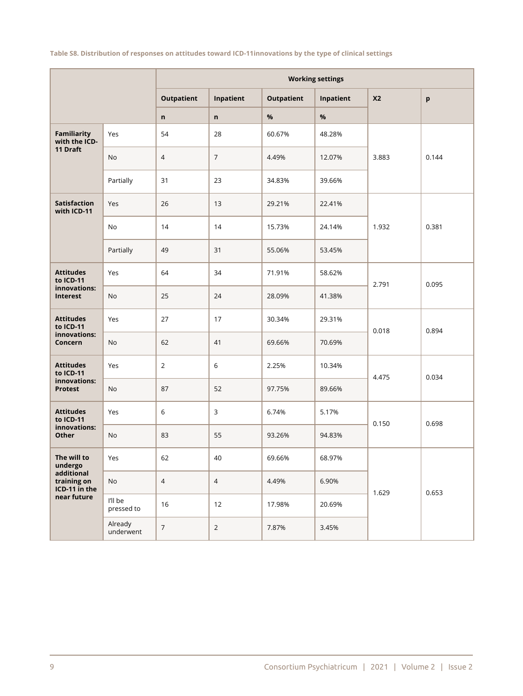**Table S8. Distribution of responses on attitudes toward ICD-11innovations by the type of clinical settings**

|                                            |                       |                   |                |                   | <b>Working settings</b> |                |       |
|--------------------------------------------|-----------------------|-------------------|----------------|-------------------|-------------------------|----------------|-------|
|                                            |                       | <b>Outpatient</b> | Inpatient      | <b>Outpatient</b> | Inpatient               | X <sub>2</sub> | p     |
|                                            |                       | n                 | n              | $\%$              | $\%$                    |                |       |
| Familiarity<br>with the ICD-               | Yes                   | 54                | 28             | 60.67%            | 48.28%                  |                |       |
| 11 Draft                                   | No                    | $\overline{4}$    | 7              | 4.49%             | 12.07%                  | 3.883          | 0.144 |
|                                            | Partially             | 31                | 23             | 34.83%            | 39.66%                  |                |       |
| <b>Satisfaction</b><br>with ICD-11         | Yes                   | 26                | 13             | 29.21%            | 22.41%                  |                |       |
|                                            | No                    | 14                | 14             | 15.73%            | 24.14%                  | 1.932          | 0.381 |
|                                            | Partially             | 49                | 31             | 55.06%            | 53.45%                  |                |       |
| <b>Attitudes</b><br>to ICD-11              | Yes                   | 64                | 34             | 71.91%            | 58.62%                  | 2.791          | 0.095 |
| innovations:<br>Interest                   | No                    | 25                | 24             | 28.09%            | 41.38%                  |                |       |
| <b>Attitudes</b><br>to ICD-11              | Yes                   | 27                | 17             | 30.34%            | 29.31%                  | 0.018          | 0.894 |
| innovations:<br>Concern                    | No                    | 62                | 41             | 69.66%            | 70.69%                  |                |       |
| <b>Attitudes</b><br>to ICD-11              | Yes                   | $\overline{2}$    | 6              | 2.25%             | 10.34%                  | 4.475          | 0.034 |
| innovations:<br><b>Protest</b>             | No                    | 87                | 52             | 97.75%            | 89.66%                  |                |       |
| <b>Attitudes</b><br>to ICD-11              | Yes                   | 6                 | 3              | 6.74%             | 5.17%                   | 0.150          | 0.698 |
| innovations:<br>Other                      | No                    | 83                | 55             | 93.26%            | 94.83%                  |                |       |
| The will to<br>undergo                     | Yes                   | 62                | 40             | 69.66%            | 68.97%                  |                |       |
| additional<br>training on<br>ICD-11 in the | No                    | $\overline{4}$    | $\overline{4}$ | 4.49%             | 6.90%                   |                |       |
| near future                                | I'll be<br>pressed to | 16                | 12             | 17.98%            | 20.69%                  | 1.629          | 0.653 |
|                                            | Already<br>underwent  | $\boldsymbol{7}$  | $\overline{2}$ | 7.87%             | 3.45%                   |                |       |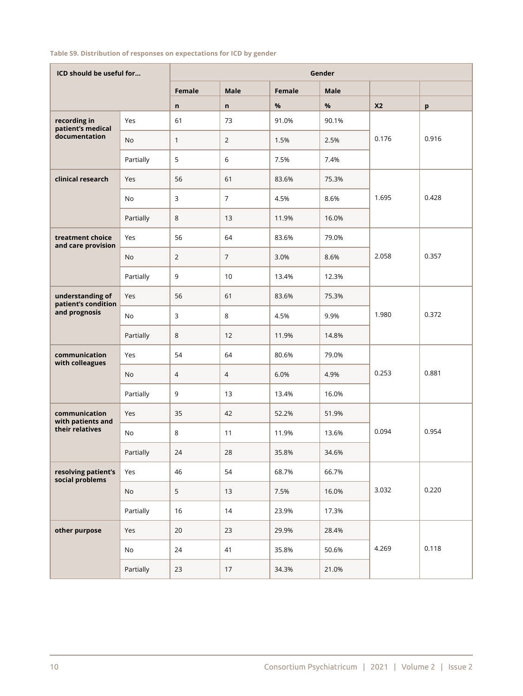#### **Table S9. Distribution of responses on expectations for ICD by gender**

| ICD should be useful for                |           |                |                |        | Gender |                |       |
|-----------------------------------------|-----------|----------------|----------------|--------|--------|----------------|-------|
|                                         |           | Female         | <b>Male</b>    | Female | Male   |                |       |
|                                         |           | $\mathsf{n}$   | $\mathsf{n}$   | $\%$   | $\%$   | X <sub>2</sub> | p     |
| recording in<br>patient's medical       | Yes       | 61             | 73             | 91.0%  | 90.1%  |                |       |
| documentation                           | No        | $\mathbf{1}$   | $\overline{2}$ | 1.5%   | 2.5%   | 0.176          | 0.916 |
|                                         | Partially | 5              | 6              | 7.5%   | 7.4%   |                |       |
| clinical research                       | Yes       | 56             | 61             | 83.6%  | 75.3%  |                |       |
|                                         | <b>No</b> | $\mathsf 3$    | $\overline{7}$ | 4.5%   | 8.6%   | 1.695          | 0.428 |
|                                         | Partially | 8              | 13             | 11.9%  | 16.0%  |                |       |
| treatment choice<br>and care provision  | Yes       | 56             | 64             | 83.6%  | 79.0%  |                |       |
|                                         | <b>No</b> | $\overline{2}$ | $\overline{7}$ | 3.0%   | 8.6%   | 2.058          | 0.357 |
|                                         | Partially | 9              | 10             | 13.4%  | 12.3%  |                |       |
| understanding of<br>patient's condition | Yes       | 56             | 61             | 83.6%  | 75.3%  |                |       |
| and prognosis                           | No        | 3              | 8              | 4.5%   | 9.9%   | 1.980          | 0.372 |
|                                         | Partially | 8              | 12             | 11.9%  | 14.8%  |                |       |
| communication<br>with colleagues        | Yes       | 54             | 64             | 80.6%  | 79.0%  |                |       |
|                                         | No        | $\overline{4}$ | $\overline{4}$ | 6.0%   | 4.9%   | 0.253          | 0.881 |
|                                         | Partially | 9              | 13             | 13.4%  | 16.0%  |                |       |
| communication<br>with patients and      | Yes       | 35             | 42             | 52.2%  | 51.9%  |                |       |
| their relatives                         | No        | $\,8\,$        | 11             | 11.9%  | 13.6%  | 0.094          | 0.954 |
|                                         | Partially | 24             | 28             | 35.8%  | 34.6%  |                |       |
| resolving patient's<br>social problems  | Yes       | 46             | 54             | 68.7%  | 66.7%  |                |       |
|                                         | <b>No</b> | 5              | 13             | 7.5%   | 16.0%  | 3.032          | 0.220 |
|                                         | Partially | 16             | 14             | 23.9%  | 17.3%  |                |       |
| other purpose                           | Yes       | 20             | 23             | 29.9%  | 28.4%  |                |       |
|                                         | No        | 24             | 41             | 35.8%  | 50.6%  | 4.269          | 0.118 |
|                                         | Partially | 23             | 17             | 34.3%  | 21.0%  |                |       |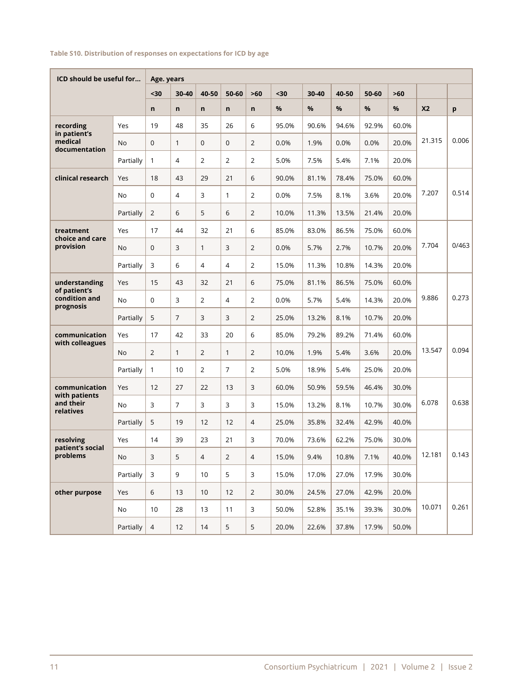#### **Table S10. Distribution of responses on expectations for ICD by age**

| ICD should be useful for                   |           | Age. years     |                |                |                |                |       |       |       |       |       |           |       |
|--------------------------------------------|-----------|----------------|----------------|----------------|----------------|----------------|-------|-------|-------|-------|-------|-----------|-------|
|                                            |           | $30$           | 30-40          | 40-50          | 50-60          | $>60$          | $30$  | 30-40 | 40-50 | 50-60 | >60   |           |       |
|                                            |           | n              | n              | $\mathsf{n}$   | n              | n              | %     | %     | %     | %     | %     | <b>X2</b> | p     |
| recording                                  | Yes       | 19             | 48             | 35             | 26             | 6              | 95.0% | 90.6% | 94.6% | 92.9% | 60.0% |           |       |
| in patient's<br>medical<br>documentation   | <b>No</b> | 0              | $\mathbf{1}$   | $\mathbf 0$    | $\mathbf{0}$   | $\overline{2}$ | 0.0%  | 1.9%  | 0.0%  | 0.0%  | 20.0% | 21.315    | 0.006 |
|                                            | Partially | $\mathbf{1}$   | $\overline{4}$ | 2              | $\overline{2}$ | $\overline{2}$ | 5.0%  | 7.5%  | 5.4%  | 7.1%  | 20.0% |           |       |
| clinical research                          | Yes       | 18             | 43             | 29             | 21             | 6              | 90.0% | 81.1% | 78.4% | 75.0% | 60.0% |           |       |
|                                            | <b>No</b> | 0              | $\overline{4}$ | 3              | $\mathbf{1}$   | $\overline{2}$ | 0.0%  | 7.5%  | 8.1%  | 3.6%  | 20.0% | 7.207     | 0.514 |
|                                            | Partially | $\overline{2}$ | 6              | 5              | 6              | $\overline{2}$ | 10.0% | 11.3% | 13.5% | 21.4% | 20.0% |           |       |
| treatment                                  | Yes       | 17             | 44             | 32             | 21             | 6              | 85.0% | 83.0% | 86.5% | 75.0% | 60.0% |           |       |
| choice and care<br>provision               | No        | 0              | 3              | $\mathbf{1}$   | 3              | $\overline{2}$ | 0.0%  | 5.7%  | 2.7%  | 10.7% | 20.0% | 7.704     | 0/463 |
|                                            | Partially | 3              | 6              | $\overline{4}$ | 4              | $\overline{2}$ | 15.0% | 11.3% | 10.8% | 14.3% | 20.0% |           |       |
| understanding                              | Yes       | 15             | 43             | 32             | 21             | 6              | 75.0% | 81.1% | 86.5% | 75.0% | 60.0% |           |       |
| of patient's<br>condition and<br>prognosis | <b>No</b> | 0              | 3              | $\overline{2}$ | 4              | 2              | 0.0%  | 5.7%  | 5.4%  | 14.3% | 20.0% | 9.886     | 0.273 |
|                                            | Partially | 5              | $\overline{7}$ | 3              | 3              | $\overline{2}$ | 25.0% | 13.2% | 8.1%  | 10.7% | 20.0% |           |       |
| communication                              | Yes       | 17             | 42             | 33             | 20             | 6              | 85.0% | 79.2% | 89.2% | 71.4% | 60.0% |           |       |
| with colleagues                            | <b>No</b> | $\overline{2}$ | $\mathbf{1}$   | 2              | $\mathbf{1}$   | $\overline{2}$ | 10.0% | 1.9%  | 5.4%  | 3.6%  | 20.0% | 13.547    | 0.094 |
|                                            | Partially | 1              | 10             | $\overline{2}$ | $\overline{7}$ | $\overline{2}$ | 5.0%  | 18.9% | 5.4%  | 25.0% | 20.0% |           |       |
| communication                              | Yes       | 12             | 27             | 22             | 13             | 3              | 60.0% | 50.9% | 59.5% | 46.4% | 30.0% |           |       |
| with patients<br>and their<br>relatives    | <b>No</b> | 3              | $\overline{7}$ | 3              | 3              | 3              | 15.0% | 13.2% | 8.1%  | 10.7% | 30.0% | 6.078     | 0.638 |
|                                            | Partially | 5              | 19             | 12             | 12             | 4              | 25.0% | 35.8% | 32.4% | 42.9% | 40.0% |           |       |
| resolving                                  | Yes       | 14             | 39             | 23             | 21             | 3              | 70.0% | 73.6% | 62.2% | 75.0% | 30.0% |           |       |
| patient's social<br>problems               | No        | 3              | 5              | 4              | $\overline{2}$ | 4              | 15.0% | 9.4%  | 10.8% | 7.1%  | 40.0% | 12.181    | 0.143 |
|                                            | Partially | $\mathsf{3}$   | 9              | 10             | 5              | $\mathsf{3}$   | 15.0% | 17.0% | 27.0% | 17.9% | 30.0% |           |       |
| other purpose                              | Yes       | 6              | 13             | 10             | 12             | $\overline{2}$ | 30.0% | 24.5% | 27.0% | 42.9% | 20.0% |           |       |
|                                            | No        | 10             | 28             | 13             | 11             | 3              | 50.0% | 52.8% | 35.1% | 39.3% | 30.0% | 10.071    | 0.261 |
|                                            | Partially | $\overline{4}$ | 12             | 14             | 5              | 5              | 20.0% | 22.6% | 37.8% | 17.9% | 50.0% |           |       |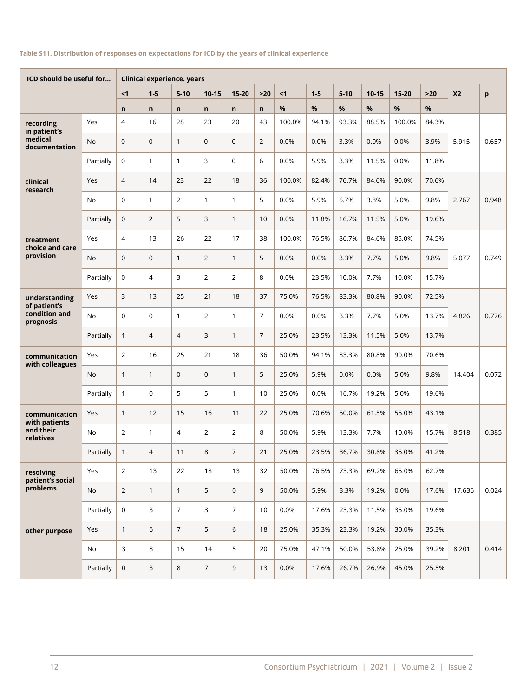#### **Table S11. Distribution of responses on expectations for ICD by the years of clinical experience**

| ICD should be useful for         |           | <b>Clinical experience. years</b> |                |                |                |                |                |        |         |          |           |           |       |                |       |
|----------------------------------|-----------|-----------------------------------|----------------|----------------|----------------|----------------|----------------|--------|---------|----------|-----------|-----------|-------|----------------|-------|
|                                  |           | $1$                               | $1 - 5$        | $5 - 10$       | $10 - 15$      | $15 - 20$      | $>20$          | < 1    | $1 - 5$ | $5 - 10$ | $10 - 15$ | $15 - 20$ | $>20$ | X <sub>2</sub> | p     |
|                                  |           | n                                 | $\mathsf{n}$   | $\mathsf{n}$   | n.             | n              | $\mathsf{n}$   | %      | $\%$    | $\%$     | $\%$      | %         | %     |                |       |
| recording<br>in patient's        | Yes       | 4                                 | 16             | 28             | 23             | 20             | 43             | 100.0% | 94.1%   | 93.3%    | 88.5%     | 100.0%    | 84.3% |                |       |
| medical<br>documentation         | No.       | $\mathbf 0$                       | $\mathbf{0}$   | $\mathbf{1}$   | $\overline{0}$ | $\mathbf{0}$   | $\overline{2}$ | 0.0%   | 0.0%    | 3.3%     | 0.0%      | 0.0%      | 3.9%  | 5.915          | 0.657 |
|                                  | Partially | 0                                 | $\mathbf{1}$   | $\mathbf{1}$   | 3              | $\Omega$       | 6              | 0.0%   | 5.9%    | 3.3%     | 11.5%     | 0.0%      | 11.8% |                |       |
| clinical<br>research             | Yes       | $\overline{4}$                    | 14             | 23             | 22             | 18             | 36             | 100.0% | 82.4%   | 76.7%    | 84.6%     | 90.0%     | 70.6% |                |       |
|                                  | <b>No</b> | 0                                 | $\mathbf{1}$   | $\overline{2}$ | $\mathbf{1}$   | $\mathbf{1}$   | 5              | 0.0%   | 5.9%    | 6.7%     | 3.8%      | 5.0%      | 9.8%  | 2.767          | 0.948 |
|                                  | Partially | 0                                 | $\overline{2}$ | 5              | 3              | $\mathbf{1}$   | 10             | 0.0%   | 11.8%   | 16.7%    | 11.5%     | 5.0%      | 19.6% |                |       |
| treatment<br>choice and care     | Yes       | 4                                 | 13             | 26             | 22             | 17             | 38             | 100.0% | 76.5%   | 86.7%    | 84.6%     | 85.0%     | 74.5% |                |       |
| provision                        | <b>No</b> | $\mathbf 0$                       | $\mathbf{0}$   | $\mathbf{1}$   | $\overline{2}$ | $\mathbf{1}$   | 5              | 0.0%   | 0.0%    | 3.3%     | 7.7%      | 5.0%      | 9.8%  | 5.077          | 0.749 |
|                                  | Partially | $\mathbf 0$                       | $\overline{4}$ | 3              | $\overline{2}$ | $\overline{2}$ | 8              | 0.0%   | 23.5%   | 10.0%    | 7.7%      | 10.0%     | 15.7% |                |       |
| understanding<br>of patient's    | Yes       | 3                                 | 13             | 25             | 21             | 18             | 37             | 75.0%  | 76.5%   | 83.3%    | 80.8%     | 90.0%     | 72.5% |                |       |
| condition and<br>prognosis       | <b>No</b> | $\mathbf 0$                       | $\mathbf 0$    | $\mathbf{1}$   | $\overline{2}$ | $\mathbf{1}$   | $\overline{7}$ | 0.0%   | 0.0%    | 3.3%     | 7.7%      | 5.0%      | 13.7% | 4.826          | 0.776 |
|                                  | Partially | $\mathbf{1}$                      | $\overline{4}$ | $\overline{4}$ | 3              | $\mathbf{1}$   | $\overline{7}$ | 25.0%  | 23.5%   | 13.3%    | 11.5%     | 5.0%      | 13.7% |                |       |
| communication<br>with colleagues | Yes       | $\overline{2}$                    | 16             | 25             | 21             | 18             | 36             | 50.0%  | 94.1%   | 83.3%    | 80.8%     | 90.0%     | 70.6% |                |       |
|                                  | No        | $\mathbf{1}$                      | $\mathbf{1}$   | $\mathbf{0}$   | $\mathbf 0$    | $\mathbf{1}$   | 5              | 25.0%  | 5.9%    | 0.0%     | 0.0%      | 5.0%      | 9.8%  | 14.404         | 0.072 |
|                                  | Partially | $\mathbf{1}$                      | $\mathbf 0$    | 5              | 5              | $\mathbf{1}$   | 10             | 25.0%  | 0.0%    | 16.7%    | 19.2%     | 5.0%      | 19.6% |                |       |
| communication<br>with patients   | Yes       | $\mathbf{1}$                      | 12             | 15             | 16             | 11             | 22             | 25.0%  | 70.6%   | 50.0%    | 61.5%     | 55.0%     | 43.1% |                |       |
| and their<br>relatives           | <b>No</b> | $\overline{2}$                    | $\mathbf{1}$   | $\overline{4}$ | 2              | $\overline{2}$ | 8              | 50.0%  | 5.9%    | 13.3%    | 7.7%      | 10.0%     | 15.7% | 8.518          | 0.385 |
|                                  | Partially | $\mathbf{1}$                      | $\overline{4}$ | 11             | 8              | $\overline{7}$ | 21             | 25.0%  | 23.5%   | 36.7%    | 30.8%     | 35.0%     | 41.2% |                |       |
| resolving<br>patient's social    | Yes       | $\overline{2}$                    | 13             | 22             | 18             | 13             | 32             | 50.0%  | 76.5%   | 73.3%    | 69.2%     | 65.0%     | 62.7% |                |       |
| problems                         | <b>No</b> | $\overline{2}$                    | $\mathbf{1}$   | $\mathbf{1}$   | 5              | $\mathbf{0}$   | 9              | 50.0%  | 5.9%    | 3.3%     | 19.2%     | 0.0%      | 17.6% | 17.636         | 0.024 |
|                                  | Partially | $\mathsf{O}$                      | 3              | $\overline{7}$ | $\overline{3}$ | $\overline{7}$ | 10             | 0.0%   | 17.6%   | 23.3%    | 11.5%     | 35.0%     | 19.6% |                |       |
| other purpose                    | Yes       | $\mathbf{1}$                      | $6\,$          | $\overline{7}$ | 5              | 6              | 18             | 25.0%  | 35.3%   | 23.3%    | 19.2%     | 30.0%     | 35.3% |                |       |
|                                  | No        | 3                                 | 8              | 15             | 14             | 5              | 20             | 75.0%  | 47.1%   | 50.0%    | 53.8%     | 25.0%     | 39.2% | 8.201          | 0.414 |
|                                  | Partially | 0                                 | 3              | $\,8\,$        | $\overline{7}$ | 9              | 13             | 0.0%   | 17.6%   | 26.7%    | 26.9%     | 45.0%     | 25.5% |                |       |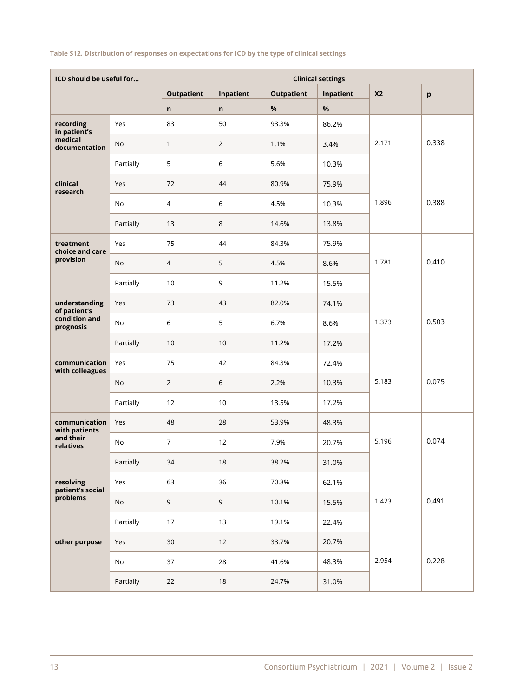## **Table S12. Distribution of responses on expectations for ICD by the type of clinical settings**

| ICD should be useful for         |           | <b>Clinical settings</b> |                |                   |           |                |       |  |  |  |  |
|----------------------------------|-----------|--------------------------|----------------|-------------------|-----------|----------------|-------|--|--|--|--|
|                                  |           | <b>Outpatient</b>        | Inpatient      | <b>Outpatient</b> | Inpatient | X <sub>2</sub> | p     |  |  |  |  |
|                                  |           | n                        | n              | $\%$              | %         |                |       |  |  |  |  |
| recording<br>in patient's        | Yes       | 83                       | 50             | 93.3%             | 86.2%     |                |       |  |  |  |  |
| medical<br>documentation         | <b>No</b> | $\mathbf{1}$             | $\overline{2}$ | 1.1%              | 3.4%      | 2.171          | 0.338 |  |  |  |  |
|                                  | Partially | 5                        | 6              | 5.6%              | 10.3%     |                |       |  |  |  |  |
| clinical<br>research             | Yes       | 72                       | 44             | 80.9%             | 75.9%     |                |       |  |  |  |  |
|                                  | No        | $\overline{4}$           | 6              | 4.5%              | 10.3%     | 1.896          | 0.388 |  |  |  |  |
|                                  | Partially | 13                       | 8              | 14.6%             | 13.8%     |                |       |  |  |  |  |
| treatment<br>choice and care     | Yes       | 75                       | 44             | 84.3%             | 75.9%     |                |       |  |  |  |  |
| provision                        | <b>No</b> | $\overline{4}$           | 5              | 4.5%              | 8.6%      | 1.781          | 0.410 |  |  |  |  |
|                                  | Partially | 10                       | 9              | 11.2%             | 15.5%     |                |       |  |  |  |  |
| understanding<br>of patient's    | Yes       | 73                       | 43             | 82.0%             | 74.1%     |                |       |  |  |  |  |
| condition and<br>prognosis       | <b>No</b> | 6                        | 5              | 6.7%              | 8.6%      | 1.373          | 0.503 |  |  |  |  |
|                                  | Partially | 10                       | 10             | 11.2%             | 17.2%     |                |       |  |  |  |  |
| communication<br>with colleagues | Yes       | 75                       | 42             | 84.3%             | 72.4%     |                |       |  |  |  |  |
|                                  | <b>No</b> | $\overline{2}$           | 6              | 2.2%              | 10.3%     | 5.183          | 0.075 |  |  |  |  |
|                                  | Partially | 12                       | 10             | 13.5%             | 17.2%     |                |       |  |  |  |  |
| communication<br>with patients   | Yes       | 48                       | 28             | 53.9%             | 48.3%     |                |       |  |  |  |  |
| and their<br>relatives           | No        | $\overline{7}$           | 12             | 7.9%              | 20.7%     | 5.196          | 0.074 |  |  |  |  |
|                                  | Partially | 34                       | $18$           | 38.2%             | 31.0%     |                |       |  |  |  |  |
| resolving<br>patient's social    | Yes       | 63                       | 36             | 70.8%             | 62.1%     |                |       |  |  |  |  |
| problems                         | No        | $\overline{9}$           | 9              | 10.1%             | 15.5%     | 1.423          | 0.491 |  |  |  |  |
|                                  | Partially | 17                       | 13             | 19.1%             | 22.4%     |                |       |  |  |  |  |
| other purpose                    | Yes       | 30                       | 12             | 33.7%             | 20.7%     |                |       |  |  |  |  |
|                                  | No        | 37                       | 28             | 41.6%             | 48.3%     | 2.954          | 0.228 |  |  |  |  |
|                                  | Partially | 22                       | 18             | 24.7%             | 31.0%     |                |       |  |  |  |  |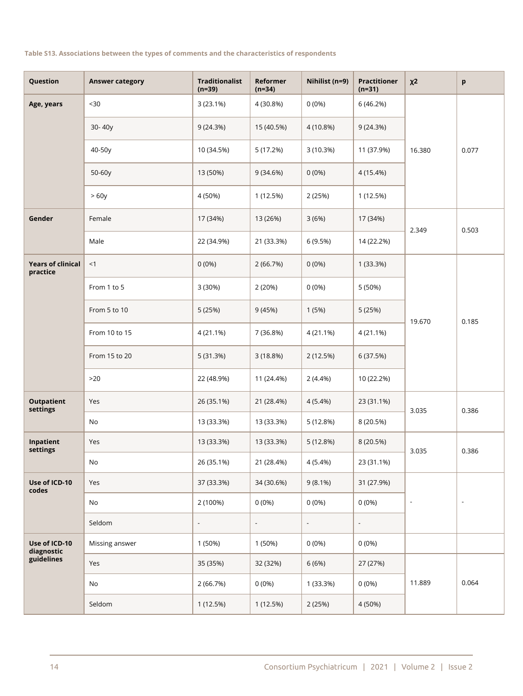#### **Table S13. Associations between the types of comments and the characteristics of respondents**

| Question                                  | <b>Answer category</b> | <b>Traditionalist</b><br>$(n=39)$ | Reformer<br>$(n=34)$ | Nihilist (n=9)           | <b>Practitioner</b><br>$(n=31)$ | $x^2$                    | p                        |
|-------------------------------------------|------------------------|-----------------------------------|----------------------|--------------------------|---------------------------------|--------------------------|--------------------------|
| Age, years                                | $<30$                  | 3 (23.1%)                         | 4 (30.8%)            | $0(0\%)$                 | 6 (46.2%)                       |                          |                          |
|                                           | 30-40y                 | 9(24.3%)                          | 15 (40.5%)           | 4 (10.8%)                | 9(24.3%)                        |                          |                          |
|                                           | 40-50y                 | 10 (34.5%)                        | 5 (17.2%)            | 3 (10.3%)                | 11 (37.9%)                      | 16.380                   | 0.077                    |
|                                           | 50-60y                 | 13 (50%)                          | 9(34.6%)             | 0(0%                     | 4 (15.4%)                       |                          |                          |
|                                           | >60y                   | 4 (50%)                           | 1 (12.5%)            | 2 (25%)                  | 1 (12.5%)                       |                          |                          |
| Gender                                    | Female                 | 17 (34%)                          | 13 (26%)             | 3(6%)                    | 17 (34%)                        | 2.349                    | 0.503                    |
|                                           | Male                   | 22 (34.9%)                        | 21 (33.3%)           | 6 (9.5%)                 | 14 (22.2%)                      |                          |                          |
| <b>Years of clinical</b><br>practice      | <1                     | 0(0%                              | 2 (66.7%)            | 0(0%                     | 1 (33.3%)                       |                          |                          |
|                                           | From 1 to 5            | 3 (30%)                           | 2 (20%)              | 0(0%                     | 5 (50%)                         |                          |                          |
|                                           | From 5 to 10           | 5 (25%)                           | 9 (45%)              | 1(5%)                    | 5 (25%)                         | 19.670                   | 0.185                    |
|                                           | From 10 to 15          | 4 (21.1%)                         | 7 (36.8%)            | 4 (21.1%)                | 4 (21.1%)                       |                          |                          |
|                                           | From 15 to 20          | 5(31.3%)                          | 3(18.8%)             | 2(12.5%)                 | 6 (37.5%)                       |                          |                          |
|                                           | $>20$                  | 22 (48.9%)                        | 11 (24.4%)           | $2(4.4\%)$               | 10 (22.2%)                      |                          |                          |
| <b>Outpatient</b><br>settings             | Yes                    | 26 (35.1%)                        | 21 (28.4%)           | 4 (5.4%)                 | 23 (31.1%)                      | 3.035                    | 0.386                    |
|                                           | No                     | 13 (33.3%)                        | 13 (33.3%)           | 5(12.8%)                 | 8 (20.5%)                       |                          |                          |
| Inpatient<br>settings                     | Yes                    | 13 (33.3%)                        | 13 (33.3%)           | 5 (12.8%)                | 8 (20.5%)                       | 3.035                    | 0.386                    |
|                                           | No                     | 26 (35.1%)                        | 21 (28.4%)           | $4(5.4\%)$               | 23 (31.1%)                      |                          |                          |
| Use of ICD-10<br>codes                    | Yes                    | 37 (33.3%)                        | 34 (30.6%)           | $9(8.1\%)$               | 31 (27.9%)                      |                          | $\overline{\phantom{a}}$ |
|                                           | No                     | 2 (100%)                          | $0(0\%)$             | $0(0\%)$                 | $0(0\%)$                        | $\overline{\phantom{a}}$ |                          |
|                                           | Seldom                 | $\overline{\phantom{a}}$          | $\blacksquare$       | $\overline{\phantom{a}}$ | $\overline{\phantom{a}}$        |                          |                          |
| Use of ICD-10<br>diagnostic<br>guidelines | Missing answer         | 1 (50%)                           | 1 (50%)              | $0(0\%)$                 | $0(0\%)$                        |                          |                          |
|                                           | Yes                    | 35 (35%)                          | 32 (32%)             | 6 (6%)                   | 27 (27%)                        |                          | 0.064                    |
|                                           | No                     | 2 (66.7%)                         | $0(0\%)$             | 1 (33.3%)                | $0(0\%)$                        | 11.889                   |                          |
|                                           | Seldom                 | 1 (12.5%)                         | 1 (12.5%)            | 2 (25%)                  | 4 (50%)                         |                          |                          |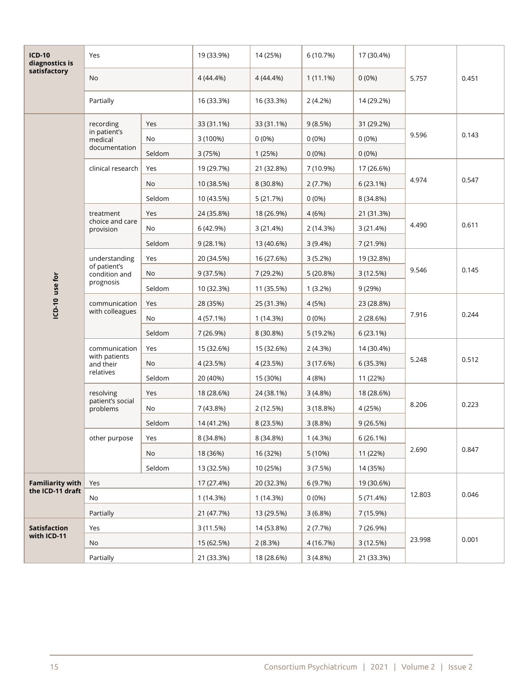| <b>ICD-10</b><br>diagnostics is<br>satisfactory | Yes                                                         |        | 19 (33.9%)  | 14 (25%)   | 6 (10.7%)   | 17 (30.4%) |        |       |
|-------------------------------------------------|-------------------------------------------------------------|--------|-------------|------------|-------------|------------|--------|-------|
|                                                 | No                                                          |        | $4(44.4\%)$ | 4 (44.4%)  | $1(11.1\%)$ | $0(0\%)$   | 5.757  | 0.451 |
|                                                 | Partially                                                   |        | 16 (33.3%)  | 16 (33.3%) | 2(4.2%)     | 14 (29.2%) |        |       |
|                                                 | recording<br>in patient's<br>medical<br>documentation       | Yes    | 33 (31.1%)  | 33 (31.1%) | 9(8.5%)     | 31 (29.2%) | 9.596  | 0.143 |
|                                                 |                                                             | No     | 3 (100%)    | $0(0\%)$   | $0(0\%)$    | $0(0\%)$   |        |       |
|                                                 |                                                             | Seldom | 3 (75%)     | 1(25%)     | $0(0\%)$    | $0(0\%)$   |        |       |
|                                                 | clinical research                                           | Yes    | 19 (29.7%)  | 21 (32.8%) | 7 (10.9%)   | 17 (26.6%) | 4.974  | 0.547 |
|                                                 |                                                             | No     | 10 (38.5%)  | 8 (30.8%)  | 2(7.7%)     | 6 (23.1%)  |        |       |
|                                                 |                                                             | Seldom | 10 (43.5%)  | 5 (21.7%)  | 0(0%        | 8 (34.8%)  |        |       |
|                                                 | treatment                                                   | Yes    | 24 (35.8%)  | 18 (26.9%) | 4 (6%)      | 21 (31.3%) | 4.490  | 0.611 |
|                                                 | choice and care<br>provision                                | No     | 6 (42.9%)   | 3(21.4%)   | 2 (14.3%)   | 3 (21.4%)  |        |       |
|                                                 |                                                             | Seldom | 9(28.1%)    | 13 (40.6%) | $3(9.4\%)$  | 7 (21.9%)  |        |       |
|                                                 | understanding<br>of patient's<br>condition and<br>prognosis | Yes    | 20 (34.5%)  | 16 (27.6%) | 3(5.2%)     | 19 (32.8%) | 9.546  | 0.145 |
|                                                 |                                                             | No     | 9 (37.5%)   | 7 (29.2%)  | 5(20.8%)    | 3 (12.5%)  |        |       |
| ICD-10 use for                                  |                                                             | Seldom | 10 (32.3%)  | 11 (35.5%) | $1(3.2\%)$  | 9(29%)     |        |       |
|                                                 | communication<br>with colleagues                            | Yes    | 28 (35%)    | 25 (31.3%) | 4 (5%)      | 23 (28.8%) | 7.916  | 0.244 |
|                                                 |                                                             | No     | 4 (57.1%)   | 1 (14.3%)  | $0(0\%)$    | 2 (28.6%)  |        |       |
|                                                 |                                                             | Seldom | 7 (26.9%)   | 8 (30.8%)  | 5 (19.2%)   | 6 (23.1%)  |        |       |
|                                                 | communication<br>with patients<br>and their<br>relatives    | Yes    | 15 (32.6%)  | 15 (32.6%) | 2(4.3%)     | 14 (30.4%) | 5.248  | 0.512 |
|                                                 |                                                             | No     | 4 (23.5%)   | 4 (23.5%)  | 3(17.6%)    | 6 (35.3%)  |        |       |
|                                                 |                                                             | Seldom | 20 (40%)    | 15 (30%)   | 4 (8%)      | 11 (22%)   |        |       |
|                                                 | resolving<br>patient's social<br>problems                   | Yes    | 18 (28.6%)  | 24 (38.1%) | 3(4.8%)     | 18 (28.6%) | 8.206  | 0.223 |
|                                                 |                                                             | No     | 7 (43.8%)   | 2 (12.5%)  | 3 (18.8%)   | 4 (25%)    |        |       |
|                                                 |                                                             | Seldom | 14 (41.2%)  | 8 (23.5%)  | 3(8.8%)     | 9(26.5%)   |        |       |
|                                                 | other purpose                                               | Yes    | 8 (34.8%)   | 8 (34.8%)  | 1(4.3%)     | 6 (26.1%)  | 2.690  | 0.847 |
|                                                 |                                                             | No     | 18 (36%)    | 16 (32%)   | 5 (10%)     | 11 (22%)   |        |       |
|                                                 |                                                             | Seldom | 13 (32.5%)  | 10 (25%)   | 3(7.5%)     | 14 (35%)   |        |       |
| <b>Familiarity with</b><br>the ICD-11 draft     | Yes                                                         |        | 17 (27.4%)  | 20 (32.3%) | 6 (9.7%)    | 19 (30.6%) |        | 0.046 |
|                                                 | No                                                          |        | 1 (14.3%)   | 1 (14.3%)  | $0(0\%)$    | 5 (71.4%)  | 12.803 |       |
|                                                 | Partially                                                   |        | 21 (47.7%)  | 13 (29.5%) | $3(6.8\%)$  | 7 (15.9%)  |        |       |
| <b>Satisfaction</b><br>with ICD-11              | Yes                                                         |        | 3 (11.5%)   | 14 (53.8%) | 2(7.7%)     | 7 (26.9%)  |        | 0.001 |
|                                                 | No                                                          |        | 15 (62.5%)  | 2(8.3%)    | 4 (16.7%)   | 3 (12.5%)  | 23.998 |       |
|                                                 | Partially                                                   |        | 21 (33.3%)  | 18 (28.6%) | 3(4.8%)     | 21 (33.3%) |        |       |